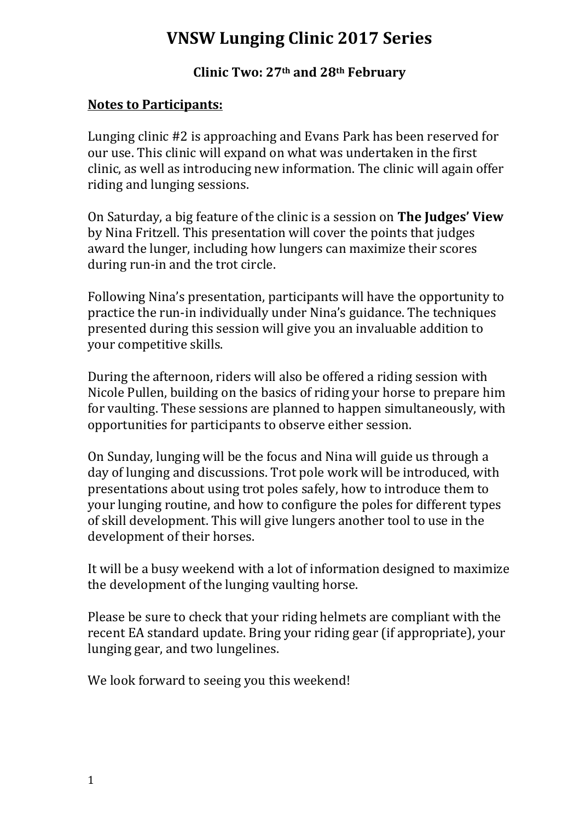## **VNSW Lunging Clinic 2017 Series**

**Clinic Two: 27th and 28th February**

### **Notes to Participants:**

Lunging clinic #2 is approaching and Evans Park has been reserved for our use. This clinic will expand on what was undertaken in the first clinic, as well as introducing new information. The clinic will again offer riding and lunging sessions.

On Saturday, a big feature of the clinic is a session on **The Judges' View** by Nina Fritzell. This presentation will cover the points that judges award the lunger, including how lungers can maximize their scores during run-in and the trot circle.

Following Nina's presentation, participants will have the opportunity to practice the run-in individually under Nina's guidance. The techniques presented during this session will give you an invaluable addition to your competitive skills.

During the afternoon, riders will also be offered a riding session with Nicole Pullen, building on the basics of riding your horse to prepare him for vaulting. These sessions are planned to happen simultaneously, with opportunities for participants to observe either session.

On Sunday, lunging will be the focus and Nina will guide us through a day of lunging and discussions. Trot pole work will be introduced, with presentations about using trot poles safely, how to introduce them to your lunging routine, and how to configure the poles for different types of skill development. This will give lungers another tool to use in the development of their horses.

It will be a busy weekend with a lot of information designed to maximize the development of the lunging vaulting horse.

Please be sure to check that your riding helmets are compliant with the recent EA standard update. Bring your riding gear (if appropriate), your lunging gear, and two lungelines.

We look forward to seeing you this weekend!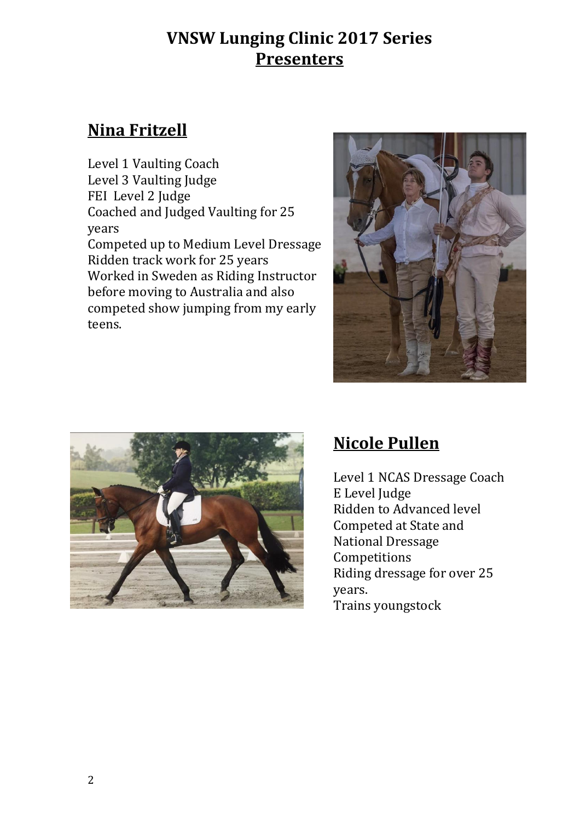## **VNSW Lunging Clinic 2017 Series Presenters**

## **Nina Fritzell**

Level 1 Vaulting Coach Level 3 Vaulting Judge FEI Level 2 Judge Coached and Judged Vaulting for 25 years Competed up to Medium Level Dressage Ridden track work for 25 years Worked in Sweden as Riding Instructor before moving to Australia and also competed show jumping from my early teens.





# **Nicole Pullen**

Level 1 NCAS Dressage Coach E Level Judge Ridden to Advanced level Competed at State and National Dressage Competitions Riding dressage for over 25 years. Trains youngstock